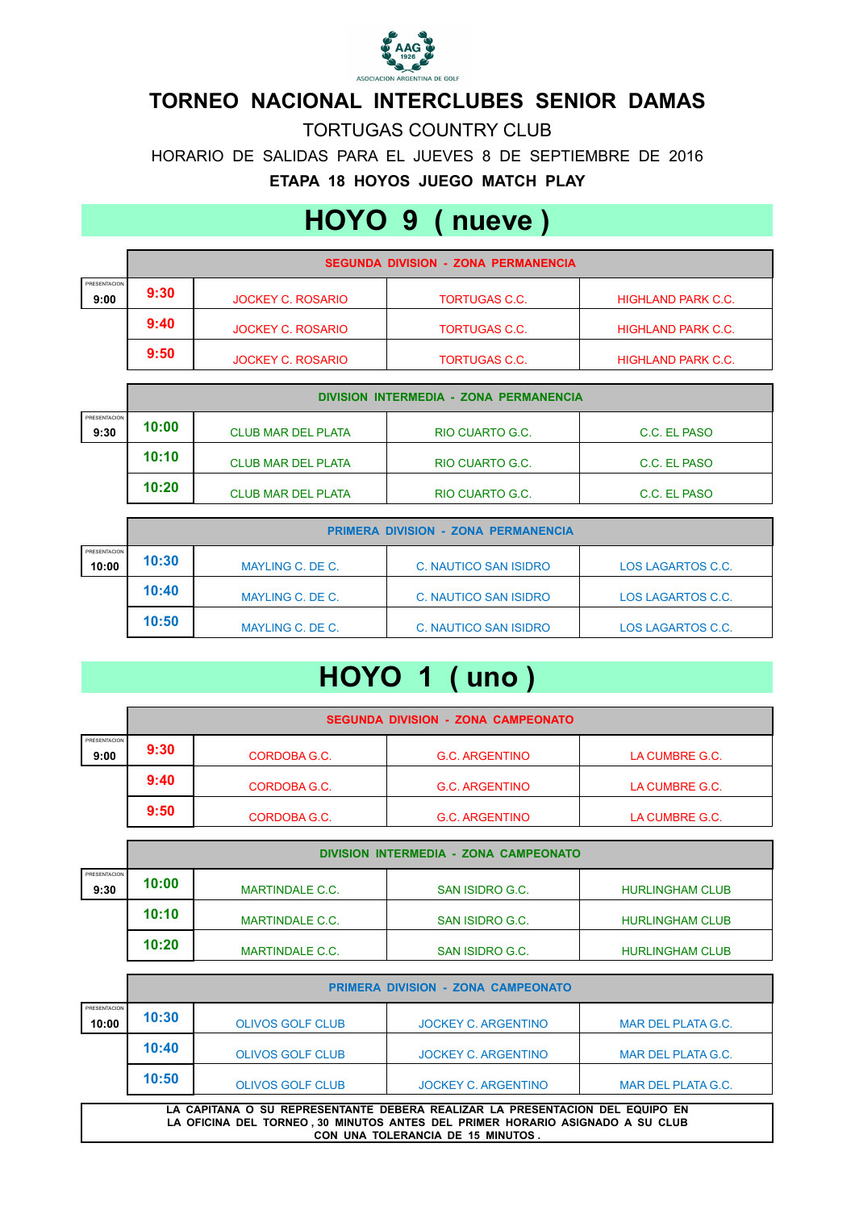

## **TORNEO NACIONAL INTERCLUBES SENIOR DAMAS**

HORARIO DE SALIDAS PARA EL JUEVES 8 DE SEPTIEMBRE DE 2016 **ETAPA 18 HOYOS JUEGO MATCH PLAY** TORTUGAS COUNTRY CLUB

## **HOYO 9 ( nueve )**

|                      | <b>SEGUNDA DIVISION - ZONA PERMANENCIA</b> |                          |                      |                           |  |
|----------------------|--------------------------------------------|--------------------------|----------------------|---------------------------|--|
| PRESENTACION<br>9:00 | 9:30                                       | <b>JOCKEY C. ROSARIO</b> | <b>TORTUGAS C.C.</b> | <b>HIGHLAND PARK C.C.</b> |  |
|                      | 9:40                                       | <b>JOCKEY C. ROSARIO</b> | <b>TORTUGAS C.C.</b> | <b>HIGHLAND PARK C.C.</b> |  |
|                      | 9:50                                       | <b>JOCKEY C. ROSARIO</b> | <b>TORTUGAS C.C.</b> | <b>HIGHLAND PARK C.C.</b> |  |

|                      | DIVISION INTERMEDIA - ZONA PERMANENCIA |                           |                 |              |
|----------------------|----------------------------------------|---------------------------|-----------------|--------------|
| PRESENTACION<br>9:30 | 10:00                                  | <b>CLUB MAR DEL PLATA</b> | RIO CUARTO G.C. | C.C. EL PASO |
|                      | 10:10                                  | <b>CLUB MAR DEL PLATA</b> | RIO CUARTO G.C. | C.C. EL PASO |
|                      | 10:20                                  | <b>CLUB MAR DEL PLATA</b> | RIO CUARTO G.C. | C.C. EL PASO |

|                       | <b>PRIMERA DIVISION - ZONA PERMANENCIA</b> |                  |                              |                   |
|-----------------------|--------------------------------------------|------------------|------------------------------|-------------------|
| PRESENTACION<br>10:00 | 10:30                                      | MAYLING C. DE C. | C. NAUTICO SAN ISIDRO        | LOS LAGARTOS C.C. |
|                       | 10:40                                      | MAYLING C. DE C. | <b>C. NAUTICO SAN ISIDRO</b> | LOS LAGARTOS C.C. |
|                       | 10:50                                      | MAYLING C. DE C. | C. NAUTICO SAN ISIDRO        | LOS LAGARTOS C.C. |

## **HOYO 1 ( uno )**

|                      | <b>SEGUNDA DIVISION - ZONA CAMPEONATO</b> |              |                       |                |
|----------------------|-------------------------------------------|--------------|-----------------------|----------------|
| PRESENTACION<br>9:00 | 9:30                                      | CORDOBA G.C. | <b>G.C. ARGENTINO</b> | LA CUMBRE G.C. |
|                      | 9:40                                      | CORDOBA G.C. | <b>G.C. ARGENTINO</b> | LA CUMBRE G.C. |
|                      | 9:50                                      | CORDOBA G.C. | <b>G.C. ARGENTINO</b> | LA CUMBRE G.C. |

|                      | DIVISION INTERMEDIA - ZONA CAMPEONATO |                        |                 |                        |  |
|----------------------|---------------------------------------|------------------------|-----------------|------------------------|--|
| PRESENTACION<br>9:30 | 10:00                                 | <b>MARTINDALE C.C.</b> | SAN ISIDRO G.C. | <b>HURLINGHAM CLUB</b> |  |
|                      | 10:10                                 | <b>MARTINDALE C.C.</b> | SAN ISIDRO G.C. | <b>HURLINGHAM CLUB</b> |  |
|                      | 10:20                                 | MARTINDALE C.C.        | SAN ISIDRO G.C. | <b>HURLINGHAM CLUB</b> |  |

|                                                                                                                                                                                                    | <b>PRIMERA DIVISION - ZONA CAMPEONATO</b> |                         |                            |                    |  |
|----------------------------------------------------------------------------------------------------------------------------------------------------------------------------------------------------|-------------------------------------------|-------------------------|----------------------------|--------------------|--|
| PRESENTACION<br>10:00                                                                                                                                                                              | 10:30                                     | <b>OLIVOS GOLF CLUB</b> | JOCKEY C. ARGENTINO        | MAR DEL PLATA G.C. |  |
|                                                                                                                                                                                                    | 10:40                                     | <b>OLIVOS GOLF CLUB</b> | <b>JOCKEY C. ARGENTINO</b> | MAR DEL PLATA G.C. |  |
|                                                                                                                                                                                                    | 10:50                                     | <b>OLIVOS GOLF CLUB</b> | <b>JOCKEY C. ARGENTINO</b> | MAR DEL PLATA G.C. |  |
| LA CAPITANA O SU REPRESENTANTE DEBERA REALIZAR LA PRESENTACION DEL EQUIPO EN<br>LA OFICINA DEL TORNEO, 30 MINUTOS ANTES DEL PRIMER HORARIO ASIGNADO A SU CLUB<br>CON UNA TOLERANCIA DE 15 MINUTOS. |                                           |                         |                            |                    |  |